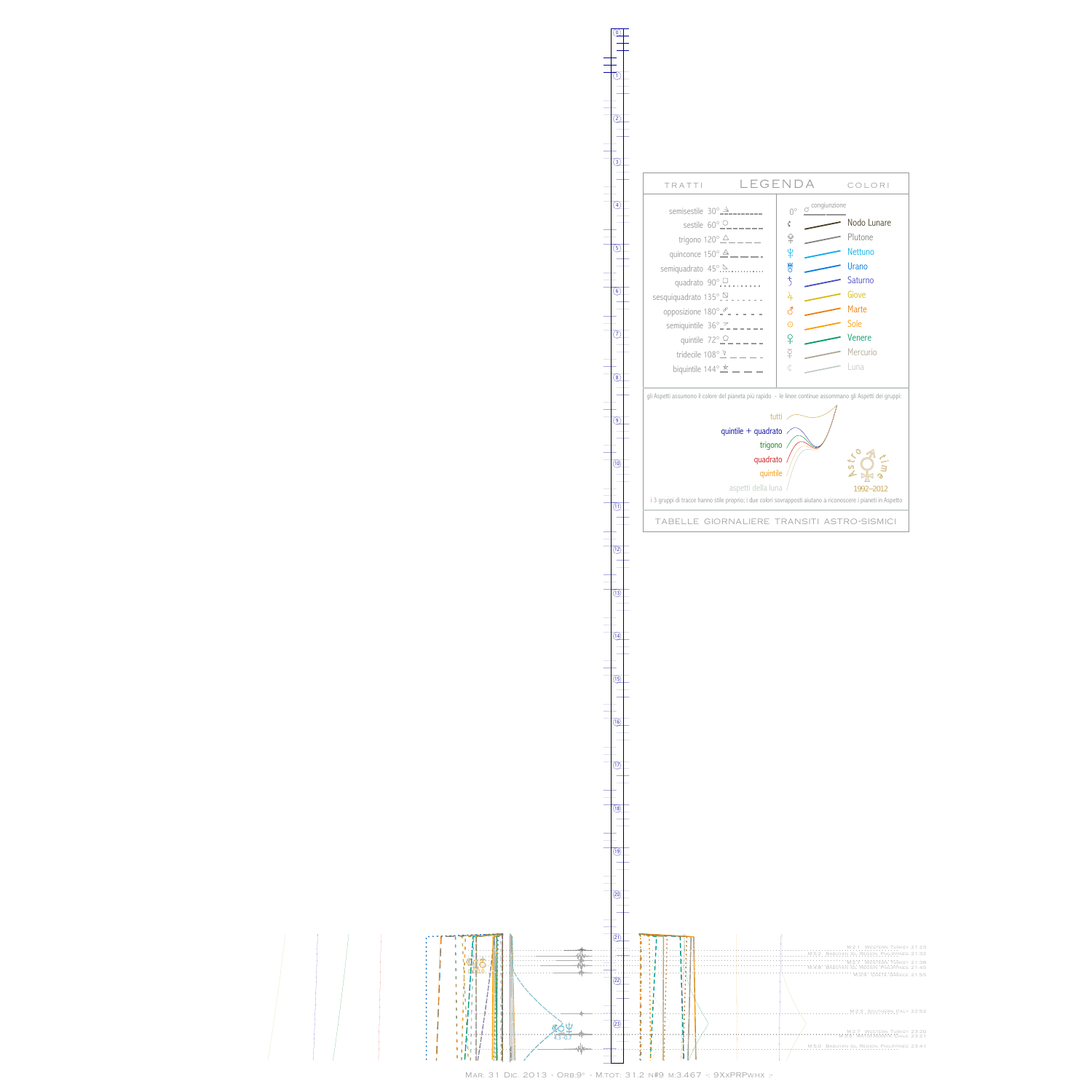